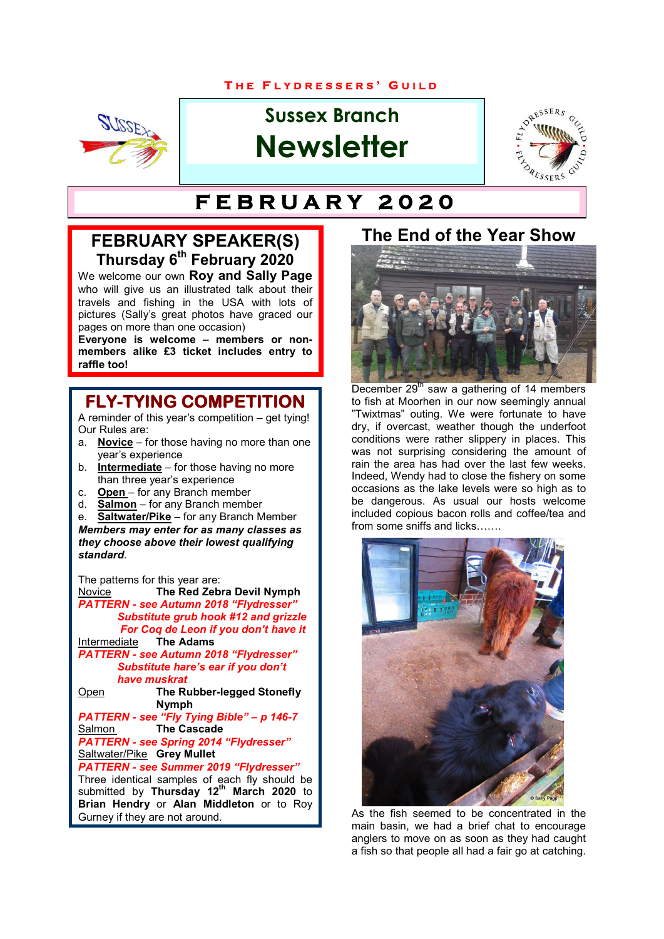#### **T H E F L Y D R E S S E R S ' G U I L D**



# **Sussex Branch Newsletter**



# **T H E F L Y D R E S S E R S ' G U I L D F E B R U A R Y 2 0 2 0**

# **FEBRUARY SPEAKER(S) Thursday 6th February 2020**

We welcome our own **Roy and Sally Page**  who will give us an illustrated talk about their travels and fishing in the USA with lots of pictures (Sally's great photos have graced our pages on more than one occasion)

**Everyone is welcome – members or nonmembers alike £3 ticket includes entry to raffle too!**

#### **FLY-TYING COMPETITION**

A reminder of this year's competition – get tying! Our Rules are:

- a. **Novice** for those having no more than one year's experience
- b. **Intermediate** for those having no more than three year's experience
- c. **Open** for any Branch member
- d. **Salmon** for any Branch member

e. **Saltwater/Pike** – for any Branch Member *Members may enter for as many classes as they choose above their lowest qualifying standard*.

The patterns for this year are:

Novice **The Red Zebra Devil Nymph** *PATTERN - see Autumn 2018 "Flydresser" Substitute grub hook #12 and grizzle For Coq de Leon if you don't have it* **Intermediate** 

*PATTERN - see Autumn 2018 "Flydresser" Substitute hare's ear if you don't have muskrat*

Open **The Rubber-legged Stonefly Nymph**

*PATTERN - see "Fly Tying Bible" – p 146-7* **The Cascade** *PATTERN - see Spring 2014 "Flydresser"* Saltwater/Pike **Grey Mullet**

*PATTERN - see Summer 2019 "Flydresser"*

Three identical samples of each fly should be submitted by **Thursday 12th March 2020** to **Brian Hendry** or **Alan Middleton** or to Roy Gurney if they are not around.

### **The End of the Year Show**



December  $29<sup>th</sup>$  saw a gathering of 14 members to fish at Moorhen in our now seemingly annual "Twixtmas" outing. We were fortunate to have dry, if overcast, weather though the underfoot conditions were rather slippery in places. This was not surprising considering the amount of rain the area has had over the last few weeks. Indeed, Wendy had to close the fishery on some occasions as the lake levels were so high as to be dangerous. As usual our hosts welcome included copious bacon rolls and coffee/tea and from some sniffs and licks......



As the fish seemed to be concentrated in the main basin, we had a brief chat to encourage anglers to move on as soon as they had caught a fish so that people all had a fair go at catching.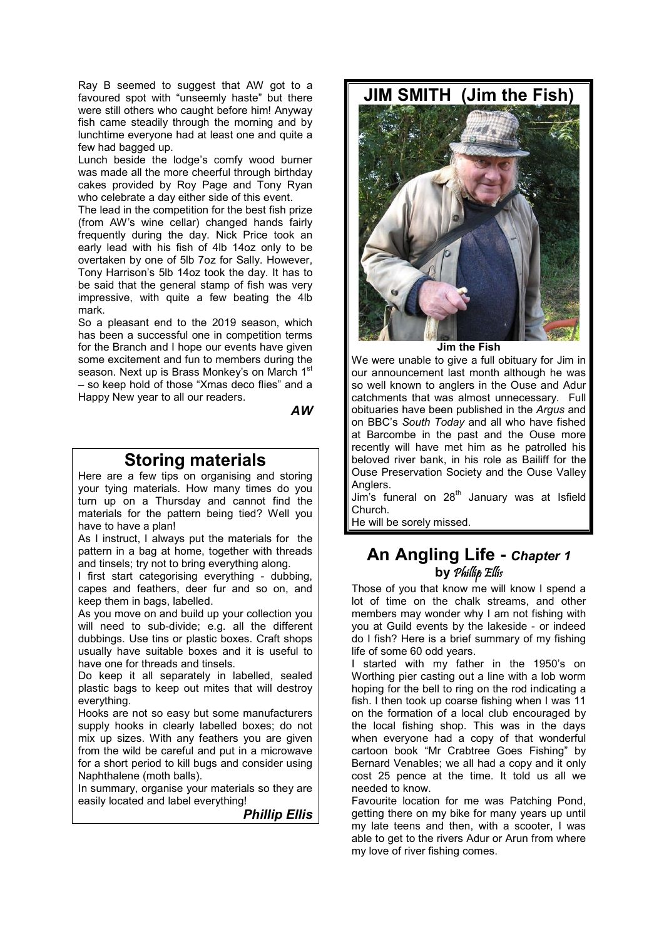Ray B seemed to suggest that AW got to a favoured spot with "unseemly haste" but there were still others who caught before him! Anyway fish came steadily through the morning and by lunchtime everyone had at least one and quite a few had bagged up.

Lunch beside the lodge's comfy wood burner was made all the more cheerful through birthday cakes provided by Roy Page and Tony Ryan who celebrate a day either side of this event.

The lead in the competition for the best fish prize (from AW's wine cellar) changed hands fairly frequently during the day. Nick Price took an early lead with his fish of 4lb 14oz only to be overtaken by one of 5lb 7oz for Sally. However, Tony Harrison's 5lb 14oz took the day. It has to be said that the general stamp of fish was very impressive, with quite a few beating the 4lb mark.

So a pleasant end to the 2019 season, which has been a successful one in competition terms for the Branch and I hope our events have given some excitement and fun to members during the season. Next up is Brass Monkey's on March 1st – so keep hold of those "Xmas deco flies" and a Happy New year to all our readers.

*AW*

### **Storing materials**

Here are a few tips on organising and storing your tying materials. How many times do you turn up on a Thursday and cannot find the materials for the pattern being tied? Well you have to have a plan!

As I instruct, I always put the materials for the pattern in a bag at home, together with threads and tinsels; try not to bring everything along.

I first start categorising everything - dubbing, capes and feathers, deer fur and so on, and keep them in bags, labelled.

As you move on and build up your collection you will need to sub-divide; e.g. all the different dubbings. Use tins or plastic boxes. Craft shops usually have suitable boxes and it is useful to have one for threads and tinsels.

Do keep it all separately in labelled, sealed plastic bags to keep out mites that will destroy everything.

Hooks are not so easy but some manufacturers supply hooks in clearly labelled boxes; do not mix up sizes. With any feathers you are given from the wild be careful and put in a microwave for a short period to kill bugs and consider using Naphthalene (moth balls).

In summary, organise your materials so they are easily located and label everything!

*Phillip Ellis*

**JIM SMITH (Jim the Fish)**



**Jim the Fish**

We were unable to give a full obituary for Jim in our announcement last month although he was so well known to anglers in the Ouse and Adur catchments that was almost unnecessary. Full obituaries have been published in the *Argus* and on BBC's *South Today* and all who have fished at Barcombe in the past and the Ouse more recently will have met him as he patrolled his beloved river bank, in his role as Bailiff for the Ouse Preservation Society and the Ouse Valley Anglers.

Jim's funeral on  $28<sup>th</sup>$  January was at Isfield Church.

He will be sorely missed.

#### **An Angling Life -** *Chapter 1* **by** Phillip Ellis

Those of you that know me will know I spend a lot of time on the chalk streams, and other members may wonder why I am not fishing with you at Guild events by the lakeside - or indeed do I fish? Here is a brief summary of my fishing life of some 60 odd years.

I started with my father in the 1950's on Worthing pier casting out a line with a lob worm hoping for the bell to ring on the rod indicating a fish. I then took up coarse fishing when I was 11 on the formation of a local club encouraged by the local fishing shop. This was in the days when everyone had a copy of that wonderful cartoon book "Mr Crabtree Goes Fishing" by Bernard Venables; we all had a copy and it only cost 25 pence at the time. It told us all we needed to know.

Favourite location for me was Patching Pond, getting there on my bike for many years up until my late teens and then, with a scooter, I was able to get to the rivers Adur or Arun from where my love of river fishing comes.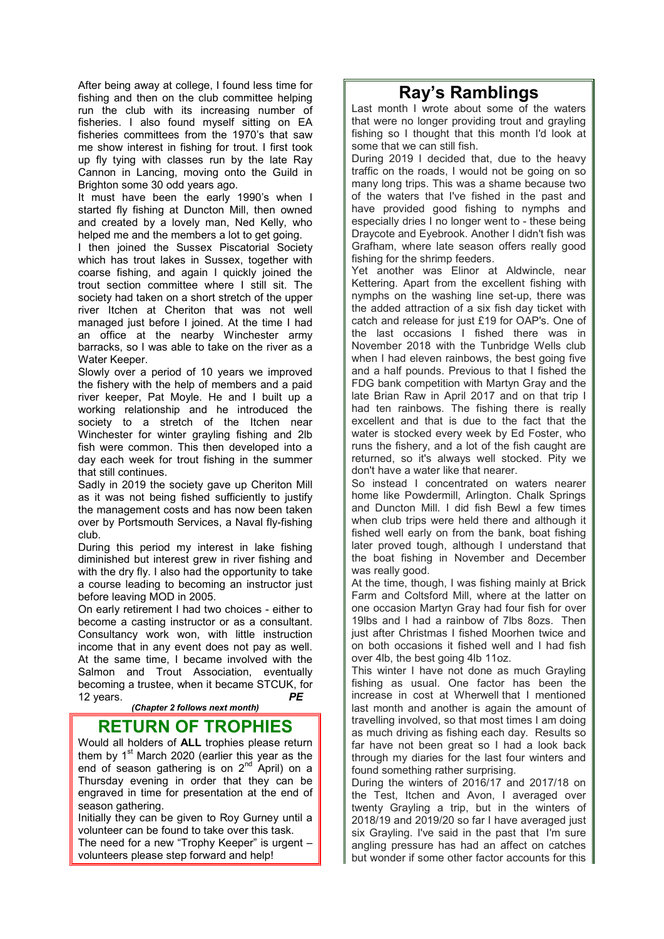After being away at college, I found less time for fishing and then on the club committee helping run the club with its increasing number of fisheries. I also found myself sitting on EA fisheries committees from the 1970's that saw me show interest in fishing for trout. I first took up fly tying with classes run by the late Ray Cannon in Lancing, moving onto the Guild in Brighton some 30 odd years ago.

It must have been the early 1990's when I started fly fishing at Duncton Mill, then owned and created by a lovely man, Ned Kelly, who helped me and the members a lot to get going.

I then joined the Sussex Piscatorial Society which has trout lakes in Sussex, together with coarse fishing, and again I quickly joined the trout section committee where I still sit. The society had taken on a short stretch of the upper river Itchen at Cheriton that was not well managed just before I joined. At the time I had an office at the nearby Winchester army barracks, so I was able to take on the river as a Water Keeper.

Slowly over a period of 10 years we improved the fishery with the help of members and a paid river keeper, Pat Moyle. He and I built up a working relationship and he introduced the society to a stretch of the Itchen near Winchester for winter grayling fishing and 2lb fish were common. This then developed into a day each week for trout fishing in the summer that still continues.

Sadly in 2019 the society gave up Cheriton Mill as it was not being fished sufficiently to justify the management costs and has now been taken over by Portsmouth Services, a Naval fly-fishing club.

During this period my interest in lake fishing diminished but interest grew in river fishing and with the dry fly. I also had the opportunity to take a course leading to becoming an instructor just before leaving MOD in 2005.

On early retirement I had two choices - either to become a casting instructor or as a consultant. Consultancy work won, with little instruction income that in any event does not pay as well. At the same time, I became involved with the Salmon and Trout Association, eventually becoming a trustee, when it became STCUK, for 12 years. *PE*

*(Chapter 2 follows next month)*

#### **RETURN OF TROPHIES**

Would all holders of **ALL** trophies please return them by  $1<sup>st</sup>$  March 2020 (earlier this year as the end of season gathering is on 2<sup>nd</sup> April) on a Thursday evening in order that they can be engraved in time for presentation at the end of season gathering.

Initially they can be given to Roy Gurney until a volunteer can be found to take over this task.

The need for a new "Trophy Keeper" is urgent – volunteers please step forward and help!

## **Ray's Ramblings**

Last month I wrote about some of the waters that were no longer providing trout and grayling fishing so I thought that this month I'd look at some that we can still fish.

During 2019 I decided that, due to the heavy traffic on the roads, I would not be going on so many long trips. This was a shame because two of the waters that I've fished in the past and have provided good fishing to nymphs and especially dries I no longer went to - these being Draycote and Eyebrook. Another I didn't fish was Grafham, where late season offers really good fishing for the shrimp feeders.

Yet another was Elinor at Aldwincle, near Kettering. Apart from the excellent fishing with nymphs on the washing line set-up, there was the added attraction of a six fish day ticket with catch and release for just £19 for OAP's. One of the last occasions I fished there was in November 2018 with the Tunbridge Wells club when I had eleven rainbows, the best going five and a half pounds. Previous to that I fished the FDG bank competition with Martyn Gray and the late Brian Raw in April 2017 and on that trip I had ten rainbows. The fishing there is really excellent and that is due to the fact that the water is stocked every week by Ed Foster, who runs the fishery, and a lot of the fish caught are returned, so it's always well stocked. Pity we don't have a water like that nearer.

So instead I concentrated on waters nearer home like Powdermill, Arlington. Chalk Springs and Duncton Mill. I did fish Bewl a few times when club trips were held there and although it fished well early on from the bank, boat fishing later proved tough, although I understand that the boat fishing in November and December was really good.

At the time, though, I was fishing mainly at Brick Farm and Coltsford Mill, where at the latter on one occasion Martyn Gray had four fish for over 19lbs and I had a rainbow of 7lbs 8ozs. Then just after Christmas I fished Moorhen twice and on both occasions it fished well and I had fish over 4lb, the best going 4lb 11oz.

This winter I have not done as much Grayling fishing as usual. One factor has been the increase in cost at Wherwell that I mentioned last month and another is again the amount of travelling involved, so that most times I am doing as much driving as fishing each day. Results so far have not been great so I had a look back through my diaries for the last four winters and found something rather surprising.

During the winters of 2016/17 and 2017/18 on the Test, Itchen and Avon, I averaged over twenty Grayling a trip, but in the winters of 2018/19 and 2019/20 so far I have averaged just six Grayling. I've said in the past that I'm sure angling pressure has had an affect on catches but wonder if some other factor accounts for this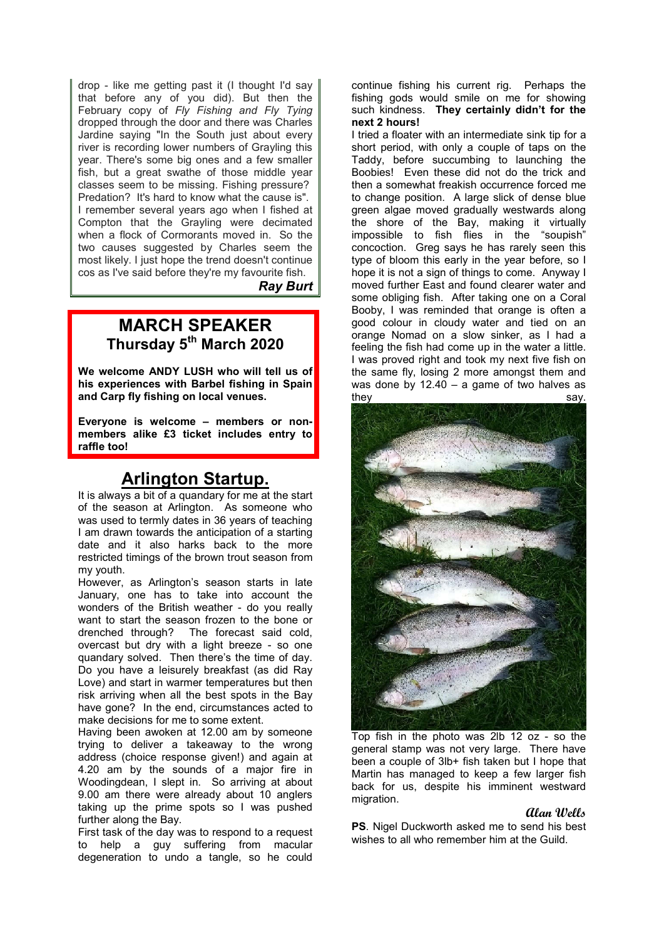drop - like me getting past it (I thought I'd say that before any of you did). But then the February copy of *Fly Fishing and Fly Tying*  dropped through the door and there was Charles Jardine saying "In the South just about every river is recording lower numbers of Grayling this year. There's some big ones and a few smaller fish, but a great swathe of those middle year classes seem to be missing. Fishing pressure? Predation? It's hard to know what the cause is". I remember several years ago when I fished at Compton that the Grayling were decimated when a flock of Cormorants moved in. So the two causes suggested by Charles seem the most likely. I just hope the trend doesn't continue cos as I've said before they're my favourite fish.

*Ray Burt*

### **MARCH SPEAKER Thursday 5th March 2020**

**We welcome ANDY LUSH who will tell us of his experiences with Barbel fishing in Spain and Carp fly fishing on local venues.**

**Everyone is welcome – members or nonmembers alike £3 ticket includes entry to raffle too!**

## **Arlington Startup.**

It is always a bit of a quandary for me at the start of the season at Arlington. As someone who was used to termly dates in 36 years of teaching I am drawn towards the anticipation of a starting date and it also harks back to the more restricted timings of the brown trout season from my youth.

However, as Arlington's season starts in late January, one has to take into account the wonders of the British weather - do you really want to start the season frozen to the bone or<br>drenched through? The forecast said cold. The forecast said cold, overcast but dry with a light breeze - so one quandary solved. Then there's the time of day. Do you have a leisurely breakfast (as did Ray Love) and start in warmer temperatures but then risk arriving when all the best spots in the Bay have gone? In the end, circumstances acted to make decisions for me to some extent.

Having been awoken at 12.00 am by someone trying to deliver a takeaway to the wrong address (choice response given!) and again at 4.20 am by the sounds of a major fire in Woodingdean, I slept in. So arriving at about 9.00 am there were already about 10 anglers taking up the prime spots so I was pushed further along the Bay.

First task of the day was to respond to a request to help a guy suffering from macular degeneration to undo a tangle, so he could continue fishing his current rig. Perhaps the fishing gods would smile on me for showing such kindness. **They certainly didn't for the next 2 hours!** 

I tried a floater with an intermediate sink tip for a short period, with only a couple of taps on the Taddy, before succumbing to launching the Boobies! Even these did not do the trick and then a somewhat freakish occurrence forced me to change position. A large slick of dense blue green algae moved gradually westwards along the shore of the Bay, making it virtually impossible to fish flies in the "soupish" concoction. Greg says he has rarely seen this type of bloom this early in the year before, so I hope it is not a sign of things to come. Anyway I moved further East and found clearer water and some obliging fish. After taking one on a Coral Booby, I was reminded that orange is often a good colour in cloudy water and tied on an orange Nomad on a slow sinker, as I had a feeling the fish had come up in the water a little. I was proved right and took my next five fish on the same fly, losing 2 more amongst them and was done by  $12.40 - a$  game of two halves as they say.



Top fish in the photo was 2lb 12 oz - so the general stamp was not very large. There have been a couple of 3lb+ fish taken but I hope that Martin has managed to keep a few larger fish back for us, despite his imminent westward migration.

#### **Alan Wells**

**PS.** Nigel Duckworth asked me to send his best wishes to all who remember him at the Guild.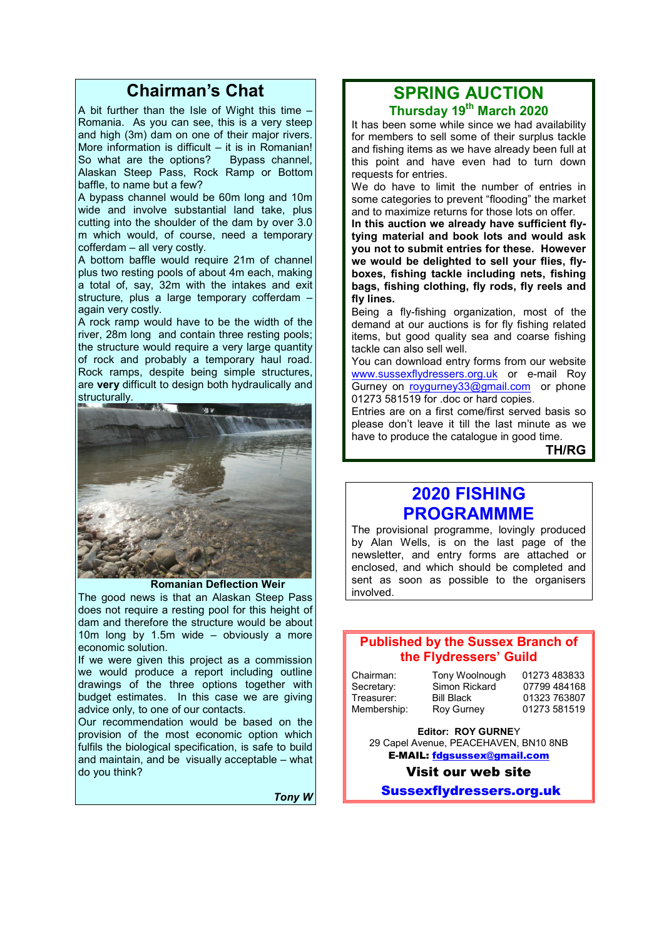## **Chairman's Chat**

A bit further than the Isle of Wight this time – Romania. As you can see, this is a very steep and high (3m) dam on one of their major rivers. More information is difficult – it is in Romanian! So what are the options? Bypass channel, Alaskan Steep Pass, Rock Ramp or Bottom baffle, to name but a few?

A bypass channel would be 60m long and 10m wide and involve substantial land take, plus cutting into the shoulder of the dam by over 3.0 m which would, of course, need a temporary cofferdam – all very costly.

A bottom baffle would require 21m of channel plus two resting pools of about 4m each, making a total of, say, 32m with the intakes and exit structure, plus a large temporary cofferdam again very costly.

A rock ramp would have to be the width of the river, 28m long and contain three resting pools; the structure would require a very large quantity of rock and probably a temporary haul road. Rock ramps, despite being simple structures, are **very** difficult to design both hydraulically and structurally.



#### **Romanian Deflection Weir**

The good news is that an Alaskan Steep Pass does not require a resting pool for this height of dam and therefore the structure would be about 10m long by 1.5m wide – obviously a more economic solution.

If we were given this project as a commission we would produce a report including outline drawings of the three options together with budget estimates. In this case we are giving advice only, to one of our contacts.

Our recommendation would be based on the provision of the most economic option which fulfils the biological specification, is safe to build and maintain, and be visually acceptable – what do you think?

*Tony W*

#### **SPRING AUCTION Thursday 19th March 2020**

It has been some while since we had availability for members to sell some of their surplus tackle and fishing items as we have already been full at this point and have even had to turn down requests for entries.

We do have to limit the number of entries in some categories to prevent "flooding" the market and to maximize returns for those lots on offer.

**In this auction we already have sufficient flytying material and book lots and would ask you not to submit entries for these. However we would be delighted to sell your flies, flyboxes, fishing tackle including nets, fishing bags, fishing clothing, fly rods, fly reels and fly lines.**

Being a fly-fishing organization, most of the demand at our auctions is for fly fishing related items, but good quality sea and coarse fishing tackle can also sell well.

You can download entry forms from our website www.sussexflydressers.org.uk or e-mail Roy Gurney on roygurney33@gmail.com or phone 01273 581519 for .doc or hard copies.

Entries are on a first come/first served basis so please don't leave it till the last minute as we have to produce the catalogue in good time.

**TH/RG**

### **2020 FISHING PROGRAMMME**

The provisional programme, lovingly produced by Alan Wells, is on the last page of the newsletter, and entry forms are attached or enclosed, and which should be completed and sent as soon as possible to the organisers involved.

#### **Published by the Sussex Branch of the Flydressers' Guild**

| Chairman:   |  |
|-------------|--|
| Secretary:  |  |
| Treasurer:  |  |
| Membership: |  |

Tony Woolnough 01273 483833<br>Simon Rickard 07799 484168 Simon Rickard<br>Bill Black Bill Black 01323 763807<br>Roy Gurney 01273 581519

01273 581519

**Editor: ROY GURNE**Y 29 Capel Avenue, PEACEHAVEN, BN10 8NB E-MAIL: fdgsussex@gmail.com

Visit our web site

Sussexflydressers.org.uk